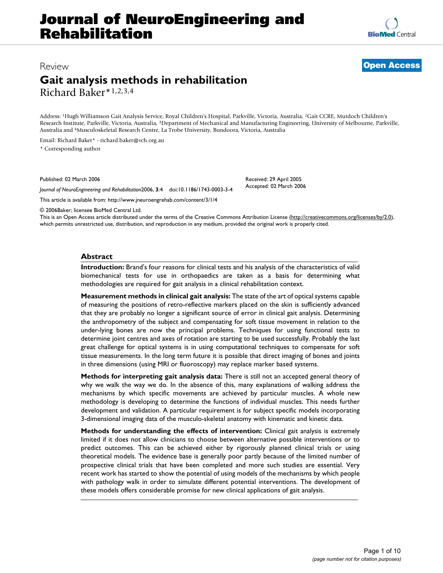# **Journal of NeuroEngineering and Rehabilitation**

**[BioMed](http://www.biomedcentral.com/)** Central

## Review **[Open Access](http://www.biomedcentral.com/info/about/charter/)**

## **Gait analysis methods in rehabilitation** Richard Baker\*1,2,3,4

Address: 1Hugh Williamson Gait Analysis Service, Royal Children's Hospital, Parkville, Victoria, Australia, 2Gait CCRE, Murdoch Children's Research Institute, Parkville, Victoria, Australia, 3Department of Mechanical and Manufacturing Engineering, University of Melbourne, Parkville, Australia and 4Musculoskeletal Research Centre, La Trobe University, Bundoora, Victoria, Australia

Email: Richard Baker\* - richard.baker@rch.org.au

\* Corresponding author

Published: 02 March 2006

*Journal of NeuroEngineering and Rehabilitation*2006, **3**:4 doi:10.1186/1743-0003-3-4

[This article is available from: http://www.jneuroengrehab.com/content/3/1/4](http://www.jneuroengrehab.com/content/3/1/4)

© 2006Baker; licensee BioMed Central Ltd.

This is an Open Access article distributed under the terms of the Creative Commons Attribution License [\(http://creativecommons.org/licenses/by/2.0\)](http://creativecommons.org/licenses/by/2.0), which permits unrestricted use, distribution, and reproduction in any medium, provided the original work is properly cited.

#### **Abstract**

**Introduction:** Brand's four reasons for clinical tests and his analysis of the characteristics of valid biomechanical tests for use in orthopaedics are taken as a basis for determining what methodologies are required for gait analysis in a clinical rehabilitation context.

**Measurement methods in clinical gait analysis:** The state of the art of optical systems capable of measuring the positions of retro-reflective markers placed on the skin is sufficiently advanced that they are probably no longer a significant source of error in clinical gait analysis. Determining the anthropometry of the subject and compensating for soft tissue movement in relation to the under-lying bones are now the principal problems. Techniques for using functional tests to determine joint centres and axes of rotation are starting to be used successfully. Probably the last great challenge for optical systems is in using computational techniques to compensate for soft tissue measurements. In the long term future it is possible that direct imaging of bones and joints in three dimensions (using MRI or fluoroscopy) may replace marker based systems.

**Methods for interpreting gait analysis data:** There is still not an accepted general theory of why we walk the way we do. In the absence of this, many explanations of walking address the mechanisms by which specific movements are achieved by particular muscles. A whole new methodology is developing to determine the functions of individual muscles. This needs further development and validation. A particular requirement is for subject specific models incorporating 3-dimensional imaging data of the musculo-skeletal anatomy with kinematic and kinetic data.

**Methods for understanding the effects of intervention:** Clinical gait analysis is extremely limited if it does not allow clinicians to choose between alternative possible interventions or to predict outcomes. This can be achieved either by rigorously planned clinical trials or using theoretical models. The evidence base is generally poor partly because of the limited number of prospective clinical trials that have been completed and more such studies are essential. Very recent work has started to show the potential of using models of the mechanisms by which people with pathology walk in order to simulate different potential interventions. The development of these models offers considerable promise for new clinical applications of gait analysis.

Received: 29 April 2005 Accepted: 02 March 2006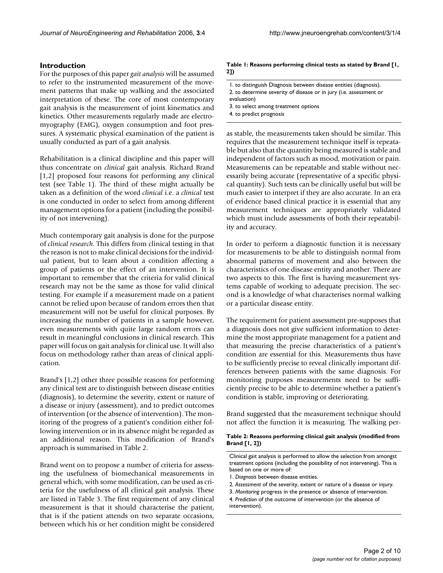#### **Introduction**

For the purposes of this paper *gait analysis* will be assumed to refer to the instrumented measurement of the movement patterns that make up walking and the associated interpretation of these. The core of most contemporary gait analysis is the measurement of joint kinematics and kinetics. Other measurements regularly made are electromyography (EMG), oxygen consumption and foot pressures. A systematic physical examination of the patient is usually conducted as part of a gait analysis.

Rehabilitation is a clinical discipline and this paper will thus concentrate on *clinical* gait analysis. Richard Brand [1,2] proposed four reasons for performing any clinical test (see Table 1). The third of these might actually be taken as a definition of the word *clinical* i.e. a *clinical* test is one conducted in order to select from among different management options for a patient (including the possibility of not intervening).

Much contemporary gait analysis is done for the purpose of *clinical research*. This differs from clinical testing in that the reason is not to make clinical decisions for the individual patient, but to learn about a condition affecting a group of patients or the effect of an intervention. It is important to remember that the criteria for valid clinical research may not be the same as those for valid clinical testing. For example if a measurement made on a patient cannot be relied upon because of random errors then that measurement will not be useful for clinical purposes. By increasing the number of patients in a sample however, even measurements with quite large random errors can result in meaningful conclusions in clinical research. This paper will focus on gait analysis for clinical use. It will also focus on methodology rather than areas of clinical application.

Brand's [1,2] other three possible reasons for performing any clinical test are to distinguish between disease entities (diagnosis), to determine the severity, extent or nature of a disease or injury (assessment), and to predict outcomes of intervention (or the absence of intervention). The monitoring of the progress of a patient's condition either following intervention or in its absence might be regarded as an additional reason. This modification of Brand's approach is summarised in Table 2.

Brand went on to propose a number of criteria for assessing the usefulness of biomechanical measurements in general which, with some modification, can be used as criteria for the usefulness of all clinical gait analysis. These are listed in Table 3. The first requirement of any clinical measurement is that it should characterise the patient, that is if the patient attends on two separate occasions, between which his or her condition might be considered **Table 1: Reasons performing clinical tests as stated by Brand [1, 2])**

1. to distinguish Diagnosis between disease entities (diagnosis). 2. to determine severity of disease or in jury (i.e. assessment or evaluation) 3. to select among treatment options

4. to predict prognosis

as stable, the measurements taken should be similar. This requires that the measurement technique itself is repeatable but also that the quantity being measured is stable and independent of factors such as mood, motivation or pain. Measurements can be repeatable and stable without necessarily being accurate (representative of a specific physical quantity). Such tests can be clinically useful but will be much easier to interpret if they are also accurate. In an era of evidence based clinical practice it is essential that any measurement techniques are appropriately validated which must include assessments of both their repeatability and accuracy.

In order to perform a diagnostic function it is necessary for measurements to be able to distinguish normal from abnormal patterns of movement and also between the characteristics of one disease entity and another. There are two aspects to this. The first is having measurement systems capable of working to adequate precision. The second is a knowledge of what characterises normal walking or a particular disease entity.

The requirement for patient assessment pre-supposes that a diagnosis does not give sufficient information to determine the most appropriate management for a patient and that measuring the precise characteristics of a patient's condition are essential for this. Measurements thus have to be sufficiently precise to reveal clinically important differences between patients with the same diagnosis. For monitoring purposes measurements need to be sufficiently precise to be able to determine whether a patient's condition is stable, improving or deteriorating.

Brand suggested that the measurement technique should not affect the function it is measuring. The walking per-

#### **Table 2: Reasons performing clinical gait analysis (modified from Brand [1, 2])**

Clinical gait analysis is performed to allow the selection from amongst treatment options (including the possibility of not intervening). This is based on one or more of:

- 1. *Diagnosis* between disease entities.
- 2. *Assessment* of the severity, extent or nature of a disease or injury.
- 3. *Monitoring* progress in the presence or absence of intervention. 4. *Prediction* of the outcome of intervention (or the absence of intervention).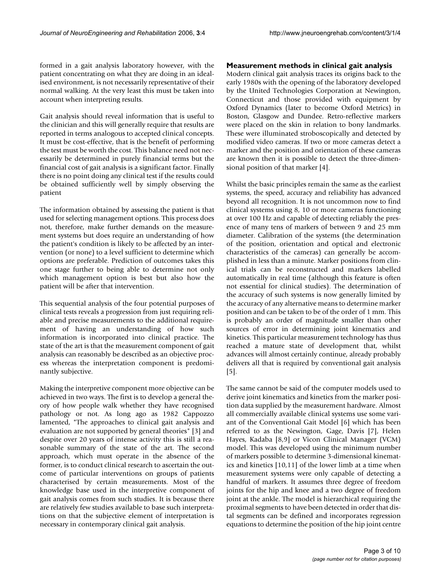formed in a gait analysis laboratory however, with the patient concentrating on what they are doing in an idealised environment, is not necessarily representative of their normal walking. At the very least this must be taken into account when interpreting results.

Gait analysis should reveal information that is useful to the clinician and this will generally require that results are reported in terms analogous to accepted clinical concepts. It must be cost-effective, that is the benefit of performing the test must be worth the cost. This balance need not necessarily be determined in purely financial terms but the financial cost of gait analysis is a significant factor. Finally there is no point doing any clinical test if the results could be obtained sufficiently well by simply observing the patient

The information obtained by assessing the patient is that used for selecting management options. This process does not, therefore, make further demands on the measurement systems but does require an understanding of how the patient's condition is likely to be affected by an intervention (or none) to a level sufficient to determine which options are preferable. Prediction of outcomes takes this one stage further to being able to determine not only which management option is best but also how the patient will be after that intervention.

This sequential analysis of the four potential purposes of clinical tests reveals a progression from just requiring reliable and precise measurements to the additional requirement of having an understanding of how such information is incorporated into clinical practice. The state of the art is that the measurement component of gait analysis can reasonably be described as an objective process whereas the interpretation component is predominantly subjective.

Making the interpretive component more objective can be achieved in two ways. The first is to develop a general theory of how people walk whether they have recognised pathology or not. As long ago as 1982 Cappozzo lamented, "The approaches to clinical gait analysis and evaluation are not supported by general theories" [3] and despite over 20 years of intense activity this is still a reasonable summary of the state of the art. The second approach, which must operate in the absence of the former, is to conduct clinical research to ascertain the outcome of particular interventions on groups of patients characterised by certain measurements. Most of the knowledge base used in the interpretive component of gait analysis comes from such studies. It is because there are relatively few studies available to base such interpretations on that the subjective element of interpretation is necessary in contemporary clinical gait analysis.

## **Measurement methods in clinical gait analysis**

Modern clinical gait analysis traces its origins back to the early 1980s with the opening of the laboratory developed by the United Technologies Corporation at Newington, Connecticut and those provided with equipment by Oxford Dynamics (later to become Oxford Metrics) in Boston, Glasgow and Dundee. Retro-reflective markers were placed on the skin in relation to bony landmarks. These were illuminated stroboscopically and detected by modified video cameras. If two or more cameras detect a marker and the position and orientation of these cameras are known then it is possible to detect the three-dimensional position of that marker [4].

Whilst the basic principles remain the same as the earliest systems, the speed, accuracy and reliability has advanced beyond all recognition. It is not uncommon now to find clinical systems using 8, 10 or more cameras functioning at over 100 Hz and capable of detecting reliably the presence of many tens of markers of between 9 and 25 mm diameter. Calibration of the systems (the determination of the position, orientation and optical and electronic characteristics of the cameras) can generally be accomplished in less than a minute. Marker positions from clinical trials can be reconstructed and markers labelled automatically in real time (although this feature is often not essential for clinical studies). The determination of the accuracy of such systems is now generally limited by the accuracy of any alternative means to determine marker position and can be taken to be of the order of 1 mm. This is probably an order of magnitude smaller than other sources of error in determining joint kinematics and kinetics. This particular measurement technology has thus reached a mature state of development that, whilst advances will almost certainly continue, already probably delivers all that is required by conventional gait analysis [5].

The same cannot be said of the computer models used to derive joint kinematics and kinetics from the marker position data supplied by the measurement hardware. Almost all commercially available clinical systems use some variant of the Conventional Gait Model [6] which has been referred to as the Newington, Gage, Davis [7], Helen Hayes, Kadaba [8,9] or Vicon Clinical Manager (VCM) model. This was developed using the minimum number of markers possible to determine 3-dimensional kinematics and kinetics [10,11] of the lower limb at a time when measurement systems were only capable of detecting a handful of markers. It assumes three degree of freedom joints for the hip and knee and a two degree of freedom joint at the ankle. The model is hierarchical requiring the proximal segments to have been detected in order that distal segments can be defined and incorporates regression equations to determine the position of the hip joint centre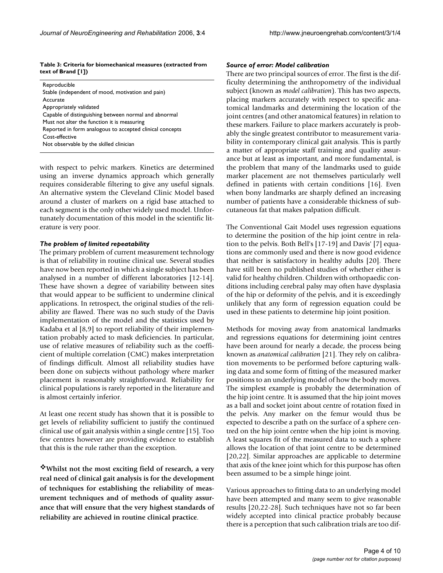#### **Table 3: Criteria for biomechanical measures (extracted from text of Brand [1])**

| Reproducible                                             |
|----------------------------------------------------------|
| Stable (independent of mood, motivation and pain)        |
| Accurate                                                 |
| Appropriately validated                                  |
| Capable of distinguishing between normal and abnormal    |
| Must not alter the function it is measuring              |
| Reported in form analogous to accepted clinical concepts |
| Cost-effective                                           |
| Not observable by the skilled clinician                  |
|                                                          |

with respect to pelvic markers. Kinetics are determined using an inverse dynamics approach which generally requires considerable filtering to give any useful signals. An alternative system the Cleveland Clinic Model based around a cluster of markers on a rigid base attached to each segment is the only other widely used model. Unfortunately documentation of this model in the scientific literature is very poor.

#### *The problem of limited repeatability*

The primary problem of current measurement technology is that of reliability in routine clinical use. Several studies have now been reported in which a single subject has been analysed in a number of different laboratories [12-14]. These have shown a degree of variability between sites that would appear to be sufficient to undermine clinical applications. In retrospect, the original studies of the reliability are flawed. There was no such study of the Davis implementation of the model and the statistics used by Kadaba et al [8,9] to report reliability of their implementation probably acted to mask deficiencies. In particular, use of relative measures of reliability such as the coefficient of multiple correlation (CMC) makes interpretation of findings difficult. Almost all reliability studies have been done on subjects without pathology where marker placement is reasonably straightforward. Reliability for clinical populations is rarely reported in the literature and is almost certainly inferior.

At least one recent study has shown that it is possible to get levels of reliability sufficient to justify the continued clinical use of gait analysis within a single centre [15]. Too few centres however are providing evidence to establish that this is the rule rather than the exception.

**Whilst not the most exciting field of research, a very real need of clinical gait analysis is for the development of techniques for establishing the reliability of measurement techniques and of methods of quality assurance that will ensure that the very highest standards of reliability are achieved in routine clinical practice**.

#### *Source of error: Model calibration*

There are two principal sources of error. The first is the difficulty determining the anthropometry of the individual subject (known as *model calibration*). This has two aspects, placing markers accurately with respect to specific anatomical landmarks and determining the location of the joint centres (and other anatomical features) in relation to these markers. Failure to place markers accurately is probably the single greatest contributor to measurement variability in contemporary clinical gait analysis. This is partly a matter of appropriate staff training and quality assurance but at least as important, and more fundamental, is the problem that many of the landmarks used to guide marker placement are not themselves particularly well defined in patients with certain conditions [16]. Even when bony landmarks are sharply defined an increasing number of patients have a considerable thickness of subcutaneous fat that makes palpation difficult.

The Conventional Gait Model uses regression equations to determine the position of the hip joint centre in relation to the pelvis. Both Bell's [17-19] and Davis' [7] equations are commonly used and there is now good evidence that neither is satisfactory in healthy adults [20]. There have still been no published studies of whether either is valid for healthy children. Children with orthopaedic conditions including cerebral palsy may often have dysplasia of the hip or deformity of the pelvis, and it is exceedingly unlikely that any form of regression equation could be used in these patients to determine hip joint position.

Methods for moving away from anatomical landmarks and regressions equations for determining joint centres have been around for nearly a decade, the process being known as *anatomical calibration* [21]. They rely on calibration movements to be performed before capturing walking data and some form of fitting of the measured marker positions to an underlying model of how the body moves. The simplest example is probably the determination of the hip joint centre. It is assumed that the hip joint moves as a ball and socket joint about centre of rotation fixed in the pelvis. Any marker on the femur would thus be expected to describe a path on the surface of a sphere centred on the hip joint centre when the hip joint is moving. A least squares fit of the measured data to such a sphere allows the location of that joint centre to be determined [20,22]. Similar approaches are applicable to determine that axis of the knee joint which for this purpose has often been assumed to be a simple hinge joint.

Various approaches to fitting data to an underlying model have been attempted and many seem to give reasonable results [20,22-28]. Such techniques have not so far been widely accepted into clinical practice probably because there is a perception that such calibration trials are too dif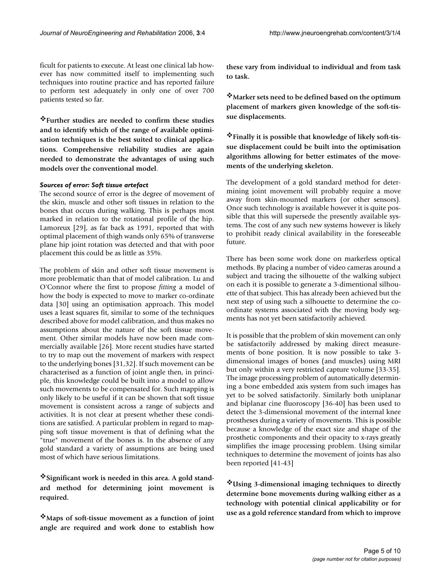ficult for patients to execute. At least one clinical lab however has now committed itself to implementing such techniques into routine practice and has reported failure to perform test adequately in only one of over 700 patients tested so far.

**Further studies are needed to confirm these studies and to identify which of the range of available optimisation techniques is the best suited to clinical applications. Comprehensive reliability studies are again needed to demonstrate the advantages of using such models over the conventional model**.

#### *Sources of error: Soft tissue artefact*

The second source of error is the degree of movement of the skin, muscle and other soft tissues in relation to the bones that occurs during walking. This is perhaps most marked in relation to the rotational profile of the hip. Lamoreux [29], as far back as 1991, reported that with optimal placement of thigh wands only 65% of transverse plane hip joint rotation was detected and that with poor placement this could be as little as 35%.

The problem of skin and other soft tissue movement is more problematic than that of model calibration. Lu and O'Connor where the first to propose *fitting* a model of how the body is expected to move to marker co-ordinate data [30] using an optimisation approach. This model uses a least squares fit, similar to some of the techniques described above for model calibration, and thus makes no assumptions about the nature of the soft tissue movement. Other similar models have now been made commercially available [26]. More recent studies have started to try to map out the movement of markers with respect to the underlying bones [31,32]. If such movement can be characterised as a function of joint angle then, in principle, this knowledge could be built into a model to allow such movements to be compensated for. Such mapping is only likely to be useful if it can be shown that soft tissue movement is consistent across a range of subjects and activities. It is not clear at present whether these conditions are satisfied. A particular problem in regard to mapping soft tissue movement is that of defining what the "true" movement of the bones is. In the absence of any gold standard a variety of assumptions are being used most of which have serious limitations.

**Significant work is needed in this area. A gold stand ard method for determining joint movement is required.**

**Maps of soft-tissue movement as a function of joint angle are required and work done to establish how** **these vary from individual to individual and from task to task.**

**Marker sets need to be defined based on the optimum placement of markers given knowledge of the soft-tissue displacements.**

**Finally it is possible that knowledge of likely soft-tis sue displacement could be built into the optimisation algorithms allowing for better estimates of the movements of the underlying skeleton.**

The development of a gold standard method for determining joint movement will probably require a move away from skin-mounted markers (or other sensors). Once such technology is available however it is quite possible that this will supersede the presently available systems. The cost of any such new systems however is likely to prohibit ready clinical availability in the foreseeable future.

There has been some work done on markerless optical methods. By placing a number of video cameras around a subject and tracing the silhouette of the walking subject on each it is possible to generate a 3-dimentional silhouette of that subject. This has already been achieved but the next step of using such a silhouette to determine the coordinate systems associated with the moving body segments has not yet been satisfactorily achieved.

It is possible that the problem of skin movement can only be satisfactorily addressed by making direct measurements of bone position. It is now possible to take 3 dimensional images of bones (and muscles) using MRI but only within a very restricted capture volume [33-35]. The image processing problem of automatically determining a bone embedded axis system from such images has yet to be solved satisfactorily. Similarly both uniplanar and biplanar cine fluoroscopy [36-40] has been used to detect the 3-dimensional movement of the internal knee prostheses during a variety of movements. This is possible because a knowledge of the exact size and shape of the prosthetic components and their opacity to x-rays greatly simplifies the image processing problem. Using similar techniques to determine the movement of joints has also been reported [41-43]

**Using 3-dimensional imaging techniques to directly determine bone movements during walking either as a technology with potential clinical applicability or for use as a gold reference standard from which to improve**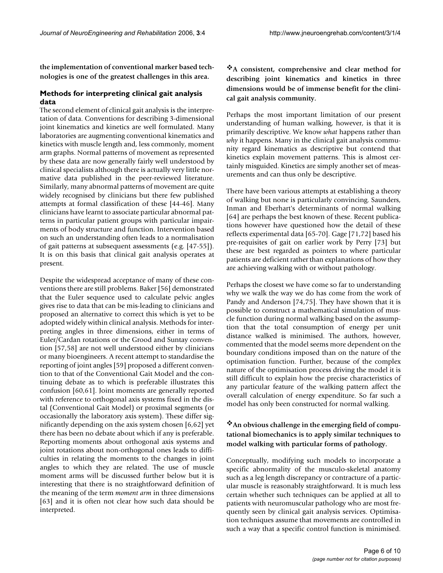**the implementation of conventional marker based technologies is one of the greatest challenges in this area.**

### **Methods for interpreting clinical gait analysis data**

The second element of clinical gait analysis is the interpretation of data. Conventions for describing 3-dimensional joint kinematics and kinetics are well formulated. Many laboratories are augmenting conventional kinematics and kinetics with muscle length and, less commonly, moment arm graphs. Normal patterns of movement as represented by these data are now generally fairly well understood by clinical specialists although there is actually very little normative data published in the peer-reviewed literature. Similarly, many abnormal patterns of movement are quite widely recognised by clinicians but there few published attempts at formal classification of these [44-46]. Many clinicians have learnt to associate particular abnormal patterns in particular patient groups with particular impairments of body structure and function. Intervention based on such an understanding often leads to a normalisation of gait patterns at subsequent assessments (e.g. [47-55]). It is on this basis that clinical gait analysis operates at present.

Despite the widespread acceptance of many of these conventions there are still problems. Baker [56] demonstrated that the Euler sequence used to calculate pelvic angles gives rise to data that can be mis-leading to clinicians and proposed an alternative to correct this which is yet to be adopted widely within clinical analysis. Methods for interpreting angles in three dimensions, either in terms of Euler/Cardan rotations or the Grood and Suntay convention [57,58] are not well understood either by clinicians or many bioengineers. A recent attempt to standardise the reporting of joint angles [59] proposed a different convention to that of the Conventional Gait Model and the continuing debate as to which is preferable illustrates this confusion [60,61]. Joint moments are generally reported with reference to orthogonal axis systems fixed in the distal (Conventional Gait Model) or proximal segments (or occasionally the laboratory axis system). These differ significantly depending on the axis system chosen [6,62] yet there has been no debate about which if any is preferable. Reporting moments about orthogonal axis systems and joint rotations about non-orthogonal ones leads to difficulties in relating the moments to the changes in joint angles to which they are related. The use of muscle moment arms will be discussed further below but it is interesting that there is no straightforward definition of the meaning of the term *moment arm* in three dimensions [63] and it is often not clear how such data should be interpreted.

**A consistent, comprehensive and clear method for describing joint kinematics and kinetics in three dimensions would be of immense benefit for the clinical gait analysis community.**

Perhaps the most important limitation of our present understanding of human walking, however, is that it is primarily descriptive. We know *what* happens rather than *why* it happens. Many in the clinical gait analysis community regard kinematics as descriptive but contend that kinetics explain movement patterns. This is almost certainly misguided. Kinetics are simply another set of measurements and can thus only be descriptive.

There have been various attempts at establishing a theory of walking but none is particularly convincing. Saunders, Inman and Eberhart's determinants of normal walking [64] are perhaps the best known of these. Recent publications however have questioned how the detail of these reflects experimental data [65-70]. Gage [71,72] based his pre-requisites of gait on earlier work by Perry [73] but these are best regarded as pointers to where particular patients are deficient rather than explanations of how they are achieving walking with or without pathology.

Perhaps the closest we have come so far to understanding why we walk the way we do has come from the work of Pandy and Anderson [74,75]. They have shown that it is possible to construct a mathematical simulation of muscle function during normal walking based on the assumption that the total consumption of energy per unit distance walked is minimised. The authors, however, commented that the model seems more dependent on the boundary conditions imposed than on the nature of the optimisation function. Further, because of the complex nature of the optimisation process driving the model it is still difficult to explain how the precise characteristics of any particular feature of the walking pattern affect the overall calculation of energy expenditure. So far such a model has only been constructed for normal walking.

## **An obvious challenge in the emerging field of computational biomechanics is to apply similar techniques to model walking with particular forms of pathology.**

Conceptually, modifying such models to incorporate a specific abnormality of the musculo-skeletal anatomy such as a leg length discrepancy or contracture of a particular muscle is reasonably straightforward. It is much less certain whether such techniques can be applied at all to patients with neuromuscular pathology who are most frequently seen by clinical gait analysis services. Optimisation techniques assume that movements are controlled in such a way that a specific control function is minimised.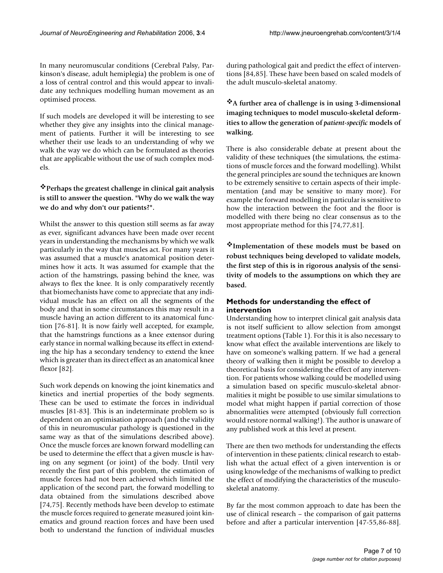In many neuromuscular conditions (Cerebral Palsy, Parkinson's disease, adult hemiplegia) the problem is one of a loss of central control and this would appear to invalidate any techniques modelling human movement as an optimised process.

If such models are developed it will be interesting to see whether they give any insights into the clinical management of patients. Further it will be interesting to see whether their use leads to an understanding of why we walk the way we do which can be formulated as theories that are applicable without the use of such complex models.

## **Perhaps the greatest challenge in clinical gait analysis is still to answer the question. "Why do we walk the way we do and why don't our patients?".**

Whilst the answer to this question still seems as far away as ever, significant advances have been made over recent years in understanding the mechanisms by which we walk particularly in the way that muscles act. For many years it was assumed that a muscle's anatomical position determines how it acts. It was assumed for example that the action of the hamstrings, passing behind the knee, was always to flex the knee. It is only comparatively recently that biomechanists have come to appreciate that any individual muscle has an effect on all the segments of the body and that in some circumstances this may result in a muscle having an action different to its anatomical function [76-81]. It is now fairly well accepted, for example, that the hamstrings functions as a knee extensor during early stance in normal walking because its effect in extending the hip has a secondary tendency to extend the knee which is greater than its direct effect as an anatomical knee flexor [82].

Such work depends on knowing the joint kinematics and kinetics and inertial properties of the body segments. These can be used to estimate the forces in individual muscles [81-83]. This is an indeterminate problem so is dependent on an optimisation approach (and the validity of this in neuromuscular pathology is questioned in the same way as that of the simulations described above). Once the muscle forces are known forward modelling can be used to determine the effect that a given muscle is having on any segment (or joint) of the body. Until very recently the first part of this problem, the estimation of muscle forces had not been achieved which limited the application of the second part, the forward modelling to data obtained from the simulations described above [74,75]. Recently methods have been develop to estimate the muscle forces required to generate measured joint kinematics and ground reaction forces and have been used both to understand the function of individual muscles during pathological gait and predict the effect of interventions [84,85]. These have been based on scaled models of the adult musculo-skeletal anatomy.

**A further area of challenge is in using 3-dimensional imaging techniques to model musculo-skeletal deformities to allow the generation of** *patient-specific* **models of walking.**

There is also considerable debate at present about the validity of these techniques (the simulations, the estimations of muscle forces and the forward modelling). Whilst the general principles are sound the techniques are known to be extremely sensitive to certain aspects of their implementation (and may be sensitive to many more). For example the forward modelling in particular is sensitive to how the interaction between the foot and the floor is modelled with there being no clear consensus as to the most appropriate method for this [74,77,81].

**Implementation of these models must be based on robust techniques being developed to validate models, the first step of this is in rigorous analysis of the sensitivity of models to the assumptions on which they are based.**

## **Methods for understanding the effect of intervention**

Understanding how to interpret clinical gait analysis data is not itself sufficient to allow selection from amongst treatment options (Table 1). For this it is also necessary to know what effect the available interventions are likely to have on someone's walking pattern. If we had a general theory of walking then it might be possible to develop a theoretical basis for considering the effect of any intervention. For patients whose walking could be modelled using a simulation based on specific musculo-skeletal abnormalities it might be possible to use similar simulations to model what might happen if partial correction of those abnormalities were attempted (obviously full correction would restore normal walking!). The author is unaware of any published work at this level at present.

There are then two methods for understanding the effects of intervention in these patients; clinical research to establish what the actual effect of a given intervention is or using knowledge of the mechanisms of walking to predict the effect of modifying the characteristics of the musculoskeletal anatomy.

By far the most common approach to date has been the use of clinical research – the comparison of gait patterns before and after a particular intervention [47-55,86-88].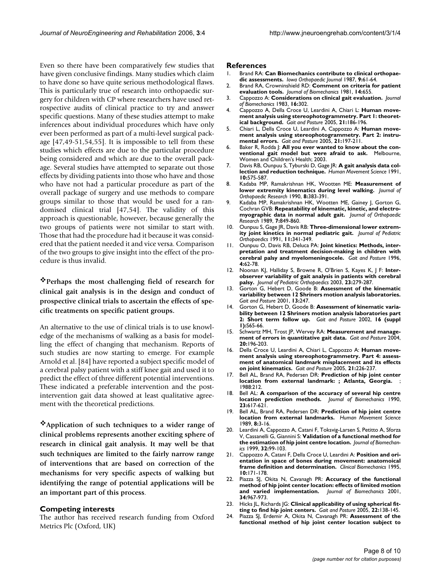Even so there have been comparatively few studies that have given conclusive findings. Many studies which claim to have done so have quite serious methodological flaws. This is particularly true of research into orthopaedic surgery for children with CP where researchers have used retrospective audits of clinical practice to try and answer specific questions. Many of these studies attempt to make inferences about individual procedures which have only ever been performed as part of a multi-level surgical package [47,49-51,54,55]. It is impossible to tell from these studies which effects are due to the particular procedure being considered and which are due to the overall package. Several studies have attempted to separate out those effects by dividing patients into those who have and those who have not had a particular procedure as part of the overall package of surgery and use methods to compare groups similar to those that would be used for a randomised clinical trial [47,54]. The validity of this approach is questionable, however, because generally the two groups of patients were not similar to start with. Those that had the procedure had it because it was considered that the patient needed it and vice versa. Comparison of the two groups to give insight into the effect of the procedure is thus invalid.

**Perhaps the most challenging field of research for clinical gait analysis is in the design and conduct of prospective clinical trials to ascertain the effects of specific treatments on specific patient groups.**

An alternative to the use of clinical trials is to use knowledge of the mechanisms of walking as a basis for modelling the effect of changing that mechanism. Reports of such studies are now starting to emerge. For example Arnold et al. [84] have reported a subject specific model of a cerebral palsy patient with a stiff knee gait and used it to predict the effect of three different potential interventions. These indicated a preferable intervention and the postintervention gait data showed at least qualitative agreement with the theoretical predictions.

**Application of such techniques to a wider range of clinical problems represents another exciting sphere of research in clinical gait analysis. It may well be that such techniques are limited to the fairly narrow range of interventions that are based on correction of the mechanisms for very specific aspects of walking but identifying the range of potential applications will be an important part of this process**.

#### **Competing interests**

The author has received research funding from Oxford Metrics Plc (Oxford, UK)

#### **References**

- 1. Brand RA: **Can Biomechanics contribute to clinical orthopaedic assessments.** *Iowa Orthopaedic Journal* 1987, **9:**61-64.
- 2. Brand RA, Crowninshield RD: **[Comment on criteria for patient](http://www.ncbi.nlm.nih.gov/entrez/query.fcgi?cmd=Retrieve&db=PubMed&dopt=Abstract&list_uids=7334049) [evaluation tools.](http://www.ncbi.nlm.nih.gov/entrez/query.fcgi?cmd=Retrieve&db=PubMed&dopt=Abstract&list_uids=7334049)** *Journal of Biomechanics* 1981, **14:**655.
- 3. Cappozzo A: **[Considerations on clinical gait evaluation.](http://www.ncbi.nlm.nih.gov/entrez/query.fcgi?cmd=Retrieve&db=PubMed&dopt=Abstract&list_uids=6863345)** *Journal of Biomechanics* 1983, **16:**302.
- 4. Cappozzo A, Della Croce U, Leardini A, Chiari L: **Human movement analysis using stereophotogrammetry. Part 1: theoretical background.** *Gait and Posture* 2005, **21:**186-196.
- 5. Chiari L, Della Croce U, Leardini A, Cappozzo A: **Human movement analysis using stereophotogrammetry. Part 2: instrumental errors.** *Gait and Posture* 2005, **21:**197-211.
- 6. Baker R, Rodda J: **All you ever wanted to know about the conventional gait model but were afraid to ask.** Melbourne, Women and Children's Health; 2003.
- 7. Davis RB, Ounpuu S, Tyburski D, Gage JR: **A gait analysis data collection and reduction technique.** *Human Movement Science* 1991, **10:**575-587.
- 8. Kadaba MP, Ramakrishnan HK, Wootten ME: **[Measurement of](http://www.ncbi.nlm.nih.gov/entrez/query.fcgi?cmd=Retrieve&db=PubMed&dopt=Abstract&list_uids=2324857) [lower extremity kinematics during level walking.](http://www.ncbi.nlm.nih.gov/entrez/query.fcgi?cmd=Retrieve&db=PubMed&dopt=Abstract&list_uids=2324857)** *Journal of Orthopaedic Research* 1990, **8:**383-391.
- 9. Kadaba MP, Ramakrishnan HK, Wootten ME, Gainey J, Gorton G, Cochran GVB: **[Repeatability of kinematic, kinetic, and electro](http://www.ncbi.nlm.nih.gov/entrez/query.fcgi?cmd=Retrieve&db=PubMed&dopt=Abstract&list_uids=2795325)[myographic data in normal adult gait.](http://www.ncbi.nlm.nih.gov/entrez/query.fcgi?cmd=Retrieve&db=PubMed&dopt=Abstract&list_uids=2795325)** *Journal of Orthopaedic Research* 1989, **7:**849-860.
- 10. Ounpuu S, Gage JR, Davis RB: **[Three-dimensional lower extrem](http://www.ncbi.nlm.nih.gov/entrez/query.fcgi?cmd=Retrieve&db=PubMed&dopt=Abstract&list_uids=2056083)[ity joint kinetics in normal pediatric gait.](http://www.ncbi.nlm.nih.gov/entrez/query.fcgi?cmd=Retrieve&db=PubMed&dopt=Abstract&list_uids=2056083)** *Journal of Pediatric Orthopaedics* 1991, **11:**341-349.
- 11. Ounpuu O, Davis RB, Deluca PA: **Joint kinetics: Methods, interpretation and treatment decision-making in children with cerebral palsy and myelomeningocele.** *Gait and Posture* 1996, **4:**62-78.
- 12. Noonan KJ, Halliday S, Browne R, O'Brien S, Kayes K, J F: **[Inter](http://www.ncbi.nlm.nih.gov/entrez/query.fcgi?cmd=Retrieve&db=PubMed&dopt=Abstract&list_uids=12724586)[observer variability of gait analysis in patients with cerebral](http://www.ncbi.nlm.nih.gov/entrez/query.fcgi?cmd=Retrieve&db=PubMed&dopt=Abstract&list_uids=12724586) [palsy.](http://www.ncbi.nlm.nih.gov/entrez/query.fcgi?cmd=Retrieve&db=PubMed&dopt=Abstract&list_uids=12724586)** *Journal of Pediatric Orthopaedics* 2003, **23:**279-287.
- 13. Gorton G, Hebert D, Goode B: **Assessment of the kinematic variability between 12 Shriners motion analysis laboratories.** *Gait and Posture* 2001, **13:**247.
- 14. Gorton G, Hebert D, Goode B: **Assessment of kinematic variability between 12 Shriners motion analysis laboratories part 2: Short term follow up.** *Gait and Posture* 2002, **16 (suppl 1):**S65-66.
- 15. Schwartz MH, Trost JP, Wervey RA: Measurement and manage**ment of errors in quantitative gait data.** *Gait and Posture* 2004, **20:**196-203.
- 16. Della Croce U, Leardini A, Chiari L, Cappozzo A: **Human movement analysis using stereophotogrammetry. Part 4: assessment of anatomical landmark misplacement and its effects on joint kinematics.** *Gait and Posture* 2005, **21:**226-237.
- 17. Bell AL, Brand RA, Pedersen DR: **[Prediction of hip joint center](http://www.ncbi.nlm.nih.gov/entrez/query.fcgi?cmd=Retrieve&db=PubMed&dopt=Abstract&list_uids=3260604)** [location from external landmark: ; Atlanta, Georgia.](http://www.ncbi.nlm.nih.gov/entrez/query.fcgi?cmd=Retrieve&db=PubMed&dopt=Abstract&list_uids=3260604) 1988:212.
- 18. Bell AL: **[A comparison of the accuracy of several hip centre](http://www.ncbi.nlm.nih.gov/entrez/query.fcgi?cmd=Retrieve&db=PubMed&dopt=Abstract&list_uids=2341423) [location prediction methods.](http://www.ncbi.nlm.nih.gov/entrez/query.fcgi?cmd=Retrieve&db=PubMed&dopt=Abstract&list_uids=2341423)** *Journal of Biomechanics* 1990, **23:**617-621.
- 19. Bell AL, Brand RA, Pedersen DR: **Prediction of hip joint centre location from external landmarks.** *Human Movement Science* 1989, **8:**3-16.
- 20. Leardini A, Cappozzo A, Catani F, Toksvig-Larsen S, Petitto A, Sforza V, Cassanelli G, Giannini S: **[Validation of a functional method for](http://www.ncbi.nlm.nih.gov/entrez/query.fcgi?cmd=Retrieve&db=PubMed&dopt=Abstract&list_uids=10050957) [the estimation of hip joint centre location.](http://www.ncbi.nlm.nih.gov/entrez/query.fcgi?cmd=Retrieve&db=PubMed&dopt=Abstract&list_uids=10050957)** *Journal of Biomechanics* 1999, **32:**99-103.
- 21. Cappozzo A, Catani F, Della Croce U, Leardini A: **[Position and ori](http://www.ncbi.nlm.nih.gov/entrez/query.fcgi?cmd=Retrieve&db=PubMed&dopt=Abstract&list_uids=11415549)[entation in space of bones during movement: anatomoical](http://www.ncbi.nlm.nih.gov/entrez/query.fcgi?cmd=Retrieve&db=PubMed&dopt=Abstract&list_uids=11415549) [frame definition and determination.](http://www.ncbi.nlm.nih.gov/entrez/query.fcgi?cmd=Retrieve&db=PubMed&dopt=Abstract&list_uids=11415549)** *Clinical Biomechanics* 1995, **10:**171-178.
- 22. Piazza SJ, Okita N, Cavanagh PR: **[Accuracy of the functional](http://www.ncbi.nlm.nih.gov/entrez/query.fcgi?cmd=Retrieve&db=PubMed&dopt=Abstract&list_uids=11410180) [method of hip joint center location: effects of limited motion](http://www.ncbi.nlm.nih.gov/entrez/query.fcgi?cmd=Retrieve&db=PubMed&dopt=Abstract&list_uids=11410180) [and varied implementation.](http://www.ncbi.nlm.nih.gov/entrez/query.fcgi?cmd=Retrieve&db=PubMed&dopt=Abstract&list_uids=11410180)** *Journal of Biomechanics* 2001, **34:**967-973.
- 23. Hicks JL, Richards JG: **Clinical applicability of using spherical fitting to find hip joint centers.** *Gait and Posture* 2005, **22:**138-145.
- 24. Piazza SJ, Erdemir A, Okita N, Cavanagh PR: **[Assessment of the](http://www.ncbi.nlm.nih.gov/entrez/query.fcgi?cmd=Retrieve&db=PubMed&dopt=Abstract&list_uids=14757454) [functional method of hip joint center location subject to](http://www.ncbi.nlm.nih.gov/entrez/query.fcgi?cmd=Retrieve&db=PubMed&dopt=Abstract&list_uids=14757454)**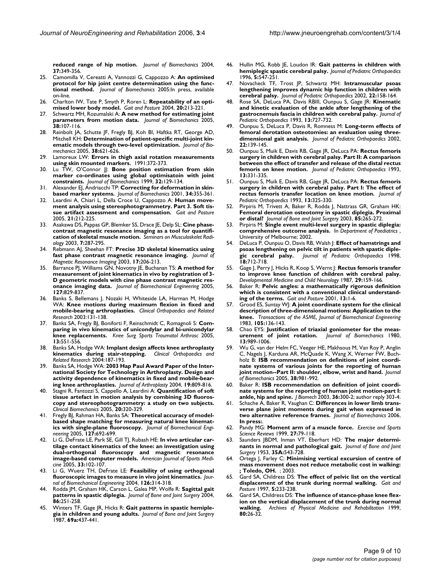**[reduced range of hip motion.](http://www.ncbi.nlm.nih.gov/entrez/query.fcgi?cmd=Retrieve&db=PubMed&dopt=Abstract&list_uids=14757454)** *Journal of Biomechanics* 2004, **37:**349-356.

- 25. Camomilla V, Cereatti A, Vannozzi G, Cappozzo A: **An optimised protocol for hip joint centre determination using the functional method.** *Journal of Biomechanics* 2005:In press, available on-line.
- 26. Charlton IW, Tate P, Smyth P, Roren L: **Repeatability of an optimised lower body model.** *Gait and Posture* 2004, **20:**213-221.
- 27. Schwartz MH, Rozumalski A: **[A new method for estimating joint](http://www.ncbi.nlm.nih.gov/entrez/query.fcgi?cmd=Retrieve&db=PubMed&dopt=Abstract&list_uids=15519345) [parameters from motion data.](http://www.ncbi.nlm.nih.gov/entrez/query.fcgi?cmd=Retrieve&db=PubMed&dopt=Abstract&list_uids=15519345)** *Journal of Biomechanics* 2005, **38:**107-116.
- 28. Reinbolt JA, Schutte JF, Fregly BJ, Koh BI, Haftka RT, George AD, Mitchell KH: **[Determination of patient-specific multi-joint kin](http://www.ncbi.nlm.nih.gov/entrez/query.fcgi?cmd=Retrieve&db=PubMed&dopt=Abstract&list_uids=15652563)[ematic models through two-level optimization.](http://www.ncbi.nlm.nih.gov/entrez/query.fcgi?cmd=Retrieve&db=PubMed&dopt=Abstract&list_uids=15652563)** *Journal of Biomechanics* 2005, **38:**621-626.
- 29. Lamoreux LW: **Errors in thigh axial rotation measurements using skin mounted markers.** 1991:372-373.
- 30. Lu TW, O'Connor JJ: **[Bone position estimation from skin](http://www.ncbi.nlm.nih.gov/entrez/query.fcgi?cmd=Retrieve&db=PubMed&dopt=Abstract&list_uids=10052917) [marker co-ordinates using global optimisatoin with joint](http://www.ncbi.nlm.nih.gov/entrez/query.fcgi?cmd=Retrieve&db=PubMed&dopt=Abstract&list_uids=10052917) [constraints.](http://www.ncbi.nlm.nih.gov/entrez/query.fcgi?cmd=Retrieve&db=PubMed&dopt=Abstract&list_uids=10052917)** *Journal of Biomechanics* 1999, **32:**129-134.
- 31. Alexander EJ, Andriacchi TP: **[Correcting for deformation in skin](http://www.ncbi.nlm.nih.gov/entrez/query.fcgi?cmd=Retrieve&db=PubMed&dopt=Abstract&list_uids=11182127)[based marker systems.](http://www.ncbi.nlm.nih.gov/entrez/query.fcgi?cmd=Retrieve&db=PubMed&dopt=Abstract&list_uids=11182127)** *Journal of Biomechanics* 2001, **34:**355-361.
- 32. Leardini A, Chiari L, Della Croce U, Cappozzo A: **Human movement analysis using stereophotogrammetry. Part 3. Soft tissue artifact assessment and compensation.** *Gait and Posture* 2005, **21:**212-225.
- 33. Asakawa DS, Pappas GP, Blemker SS, Drace JE, Delp SL: **Cine phasecontrast magnetic resonance imaging as a tool for quantification of skeletal muscle motion.** *Seminars on Musculoskelet Radiology* 2003, **7:**287-295.
- 34. Rebmann AJ, Sheehan FT: **[Precise 3D skeletal kinematics using](http://www.ncbi.nlm.nih.gov/entrez/query.fcgi?cmd=Retrieve&db=PubMed&dopt=Abstract&list_uids=12541228) [fast phase contrast magnetic resonance imaging.](http://www.ncbi.nlm.nih.gov/entrez/query.fcgi?cmd=Retrieve&db=PubMed&dopt=Abstract&list_uids=12541228)** *Journal of Magnetic Resonance Imaging* 2003, **17:**206-213.
- 35. Barrance PJ, Williams GN, Novotny JE, Buchanan TS: **[A method for](http://www.ncbi.nlm.nih.gov/entrez/query.fcgi?cmd=Retrieve&db=PubMed&dopt=Abstract&list_uids=16248313) measurement of joint kinematics in vivo by registration of 3- [D geometric models with cine phase contrast magnetic res](http://www.ncbi.nlm.nih.gov/entrez/query.fcgi?cmd=Retrieve&db=PubMed&dopt=Abstract&list_uids=16248313)[onance imaging data.](http://www.ncbi.nlm.nih.gov/entrez/query.fcgi?cmd=Retrieve&db=PubMed&dopt=Abstract&list_uids=16248313)** *Journal of Biomechanical Engineering* 2005, **127:**829-837.
- 36. Banks S, Bellemans J, Nozaki H, Whiteside LA, Harman M, Hodge WA: **Knee motions during maximum flexion in fixed and mobile-bearing arthroplasties.** *Clinical Orthopaedics and Related Research* 2003:131-138.
- 37. Banks SA, Fregly BJ, Boniforti F, Reinschmidt C, Romagnoli S: **[Com](http://www.ncbi.nlm.nih.gov/entrez/query.fcgi?cmd=Retrieve&db=PubMed&dopt=Abstract&list_uids=15660274)[paring in vivo kinematics of unicondylar and bi-unicondylar](http://www.ncbi.nlm.nih.gov/entrez/query.fcgi?cmd=Retrieve&db=PubMed&dopt=Abstract&list_uids=15660274) [knee replacements.](http://www.ncbi.nlm.nih.gov/entrez/query.fcgi?cmd=Retrieve&db=PubMed&dopt=Abstract&list_uids=15660274)** *Knee Surg Sports Traumatol Arthrosc* 2005, **13:**551-556.
- 38. Banks SA, Hodge WA: **Implant design affects knee arthroplasty kinematics during stair-stepping.** *Clinical Orthopaedics and Related Research* 2004:187-193.
- 39. Banks SA, Hodge WA: **[2003 Hap Paul Award Paper of the Inter](http://www.ncbi.nlm.nih.gov/entrez/query.fcgi?cmd=Retrieve&db=PubMed&dopt=Abstract&list_uids=15483794)national Society for Technology in Arthroplasty. Design and [activity dependence of kinematics in fixed and mobile-bear](http://www.ncbi.nlm.nih.gov/entrez/query.fcgi?cmd=Retrieve&db=PubMed&dopt=Abstract&list_uids=15483794)[ing knee arthroplasties.](http://www.ncbi.nlm.nih.gov/entrez/query.fcgi?cmd=Retrieve&db=PubMed&dopt=Abstract&list_uids=15483794)** *Journal of Arthroplasty* 2004, **19:**809-816.
- 40. Stagni R, Fantozzi S, Cappello A, Leardini A: **[Quantification of soft](http://www.ncbi.nlm.nih.gov/entrez/query.fcgi?cmd=Retrieve&db=PubMed&dopt=Abstract&list_uids=15698706) tissue artefact in motion analysis by combining 3D fluoros[copy and stereophotogrammetry: a study on two subjects.](http://www.ncbi.nlm.nih.gov/entrez/query.fcgi?cmd=Retrieve&db=PubMed&dopt=Abstract&list_uids=15698706)** *Clinical Biomechanics* 2005, **20:**320-329.
- 41. Fregly BJ, Rahman HA, Banks SA: **[Theoretical accuracy of model](http://www.ncbi.nlm.nih.gov/entrez/query.fcgi?cmd=Retrieve&db=PubMed&dopt=Abstract&list_uids=16121540)[based shape matching for measuring natural knee kinemat](http://www.ncbi.nlm.nih.gov/entrez/query.fcgi?cmd=Retrieve&db=PubMed&dopt=Abstract&list_uids=16121540)[ics with single-plane fluoroscopy.](http://www.ncbi.nlm.nih.gov/entrez/query.fcgi?cmd=Retrieve&db=PubMed&dopt=Abstract&list_uids=16121540)** *Journal of Biomechanical Engineering* 2005, **127:**692-699.
- 42. Li G, DeFrate LE, Park SE, Gill TJ, Rubash HE: **[In vivo articular car](http://www.ncbi.nlm.nih.gov/entrez/query.fcgi?cmd=Retrieve&db=PubMed&dopt=Abstract&list_uids=15611005)tilage contact kinematics of the knee: an investigation using [dual-orthogonal fluoroscopy and magnetic resonance](http://www.ncbi.nlm.nih.gov/entrez/query.fcgi?cmd=Retrieve&db=PubMed&dopt=Abstract&list_uids=15611005) [image-based computer models.](http://www.ncbi.nlm.nih.gov/entrez/query.fcgi?cmd=Retrieve&db=PubMed&dopt=Abstract&list_uids=15611005)** *American Journal of Sports Medicine* 2005, **33:**102-107.
- 43. Li G, Wuerz TH, DeFrate LE: **[Feasibility of using orthogonal](http://www.ncbi.nlm.nih.gov/entrez/query.fcgi?cmd=Retrieve&db=PubMed&dopt=Abstract&list_uids=15179865) [fluoroscopic images to measure in vivo joint kinematics.](http://www.ncbi.nlm.nih.gov/entrez/query.fcgi?cmd=Retrieve&db=PubMed&dopt=Abstract&list_uids=15179865)** *Journal of Biomechanical Engineering* 2004, **126:**314-318.
- 44. Rodda JM, Graham HK, Carson L, Galea MP, Wolfe R: **Sagittal gait patterns in spastic diplegia.** *Journal of Bone and Joint Surgery* 2004, **86:**251-258.
- 45. Winters TF, Gage JR, Hicks R: **Gait patterns in spastic hemiplegia in children and young adults.** *Journal of Bone and Joint Surgery* 1987, **69a:**437-441.
- 46. Hullin MG, Robb JE, Loudon IR: **Gait patterns in children with hemiplegic spastic cerebral palsy.** *Journal of Pediatric Orthopaedics* 1996, **5:**547-251.
- 47. Novacheck TF, Trost JP, Schwartz MH: **[Intramuscular psoas](http://www.ncbi.nlm.nih.gov/entrez/query.fcgi?cmd=Retrieve&db=PubMed&dopt=Abstract&list_uids=11856921) [lengthening improves dynamic hip function in children with](http://www.ncbi.nlm.nih.gov/entrez/query.fcgi?cmd=Retrieve&db=PubMed&dopt=Abstract&list_uids=11856921) [cerebral palsy.](http://www.ncbi.nlm.nih.gov/entrez/query.fcgi?cmd=Retrieve&db=PubMed&dopt=Abstract&list_uids=11856921)** *Journal of Pediatric Orthopaedics* 2002, **22:**158-164.
- 48. Rose SA, DeLuca PA, Davis RBIII, Ounpuu S, Gage JR: **[Kinematic](http://www.ncbi.nlm.nih.gov/entrez/query.fcgi?cmd=Retrieve&db=PubMed&dopt=Abstract&list_uids=8245196) [and kinetic evaluation of the ankle after lengthening of the](http://www.ncbi.nlm.nih.gov/entrez/query.fcgi?cmd=Retrieve&db=PubMed&dopt=Abstract&list_uids=8245196) [gastrocnemuis fascia in children with cerebral palsy.](http://www.ncbi.nlm.nih.gov/entrez/query.fcgi?cmd=Retrieve&db=PubMed&dopt=Abstract&list_uids=8245196)** *Journal of Pediatric Orthopaedics* 1993, **13:**727-732.
- 49. Ounpuu S, DeLuca P, Davis R, Romness M: **[Long-term effects of](http://www.ncbi.nlm.nih.gov/entrez/query.fcgi?cmd=Retrieve&db=PubMed&dopt=Abstract&list_uids=11856918) [femoral derotation osteotomies: an evaluation using three](http://www.ncbi.nlm.nih.gov/entrez/query.fcgi?cmd=Retrieve&db=PubMed&dopt=Abstract&list_uids=11856918)[dimensional gait analysis.](http://www.ncbi.nlm.nih.gov/entrez/query.fcgi?cmd=Retrieve&db=PubMed&dopt=Abstract&list_uids=11856918)** *Journal of Pediatric Orthopaedics* 2002, **22:**139-145.
- 50. Ounpuu S, Muik E, Davis RB, Gage JR, DeLuca PA: **[Rectus femoris](http://www.ncbi.nlm.nih.gov/entrez/query.fcgi?cmd=Retrieve&db=PubMed&dopt=Abstract&list_uids=8496367) surgery in children with cerebral palsy. Part II: A comparison [between the effect of transfer and release of the distal rectus](http://www.ncbi.nlm.nih.gov/entrez/query.fcgi?cmd=Retrieve&db=PubMed&dopt=Abstract&list_uids=8496367) [femoris on knee motion.](http://www.ncbi.nlm.nih.gov/entrez/query.fcgi?cmd=Retrieve&db=PubMed&dopt=Abstract&list_uids=8496367)** *Journal of Pediatric Orthopaedics* 1993, **13:**331-335.
- 51. Ounpuu S, Muik E, Davis RB, Gage JR, DeLuca PA: **[Rectus femoris](http://www.ncbi.nlm.nih.gov/entrez/query.fcgi?cmd=Retrieve&db=PubMed&dopt=Abstract&list_uids=8496366) [surgery in children with cerebral palsy. Part I: The effect of](http://www.ncbi.nlm.nih.gov/entrez/query.fcgi?cmd=Retrieve&db=PubMed&dopt=Abstract&list_uids=8496366) [rectus femoris transfer location on knee motion.](http://www.ncbi.nlm.nih.gov/entrez/query.fcgi?cmd=Retrieve&db=PubMed&dopt=Abstract&list_uids=8496366)** *Journal of Pediatric Orthopaedics* 1993, **13:**325-330.
- 52. Pirpiris M, Trivett A, Baker R, Rodda J, Nattrass GR, Graham HK: **Femoral derotation osteotomy in spastic diplegia. Proximal or distal?** *Journal of Bone and Joint Surgery* 2003, **85:**265-272.
- 53. Pirpiris M: **Single event multi-level surgery in spastic diplegia: comprehensive outcome analysis.** In *Department of Paediatrics* , University of Melbourne; 2002.
- 54. DeLuca P, Ounpuu O, Davis RB, Walsh J: **[Effect of hamstrings and](http://www.ncbi.nlm.nih.gov/entrez/query.fcgi?cmd=Retrieve&db=PubMed&dopt=Abstract&list_uids=9821124) [psoas lengthening on pelvic tilt in patients with spastic diple](http://www.ncbi.nlm.nih.gov/entrez/query.fcgi?cmd=Retrieve&db=PubMed&dopt=Abstract&list_uids=9821124)[gic cerebral palsy.](http://www.ncbi.nlm.nih.gov/entrez/query.fcgi?cmd=Retrieve&db=PubMed&dopt=Abstract&list_uids=9821124)** *Journal of Pediatric Orthopaedics* 1998, **gic** cerebral palsy.<br>18:712-718.
- 55. Gage J, Perry J, Hicks R, Koop S, Wernt J: **Rectus femoris transfer to improve knee function of children with cerebral palsy.** *Developmental Medicine and Child Neurology* 1987, **29:**159-166.
- 56. Baker R: **Pelvic angles: a mathematically rigorous definition which is consistent with a conventional clinical understanding of the terms.** *Gait and Posture* 2001, **13:**1-6.
- 57. Grood ES, Suntay WJ: **A joint coordinate system for the clinical description of three-dimensional motions: Application to the knee.** *Transactions of the ASME, Journal of Biomechanical Engineering* 1983, **105:**136-143.
- 58. Chao EYS: **[Justification of triaxial goniometer for the meas](http://www.ncbi.nlm.nih.gov/entrez/query.fcgi?cmd=Retrieve&db=PubMed&dopt=Abstract&list_uids=7204426)[urement of joint rotation.](http://www.ncbi.nlm.nih.gov/entrez/query.fcgi?cmd=Retrieve&db=PubMed&dopt=Abstract&list_uids=7204426)** *Journal of Biomechanics* 1980, **13:**989-1006.
- 59. Wu G, van der Helm FC, Veeger HE, Makhsous M, Van Roy P, Anglin C, Nagels J, Karduna AR, McQuade K, Wang X, Werner FW, Buchholz B: **[ISB recommendation on definitions of joint coordi](http://www.ncbi.nlm.nih.gov/entrez/query.fcgi?cmd=Retrieve&db=PubMed&dopt=Abstract&list_uids=15844264)[nate systems of various joints for the reporting of human](http://www.ncbi.nlm.nih.gov/entrez/query.fcgi?cmd=Retrieve&db=PubMed&dopt=Abstract&list_uids=15844264) [joint motion--Part II: shoulder, elbow, wrist and hand.](http://www.ncbi.nlm.nih.gov/entrez/query.fcgi?cmd=Retrieve&db=PubMed&dopt=Abstract&list_uids=15844264)** *Journal of Biomechanics* 2005, **38:**981-992.
- 60. Baker R: **[ISB recommendation on definition of joint coordi](http://www.ncbi.nlm.nih.gov/entrez/query.fcgi?cmd=Retrieve&db=PubMed&dopt=Abstract&list_uids=12547371)[nate systems for the reporting of human joint motion-part I:](http://www.ncbi.nlm.nih.gov/entrez/query.fcgi?cmd=Retrieve&db=PubMed&dopt=Abstract&list_uids=12547371) [ankle, hip and spine.](http://www.ncbi.nlm.nih.gov/entrez/query.fcgi?cmd=Retrieve&db=PubMed&dopt=Abstract&list_uids=12547371)** *J Biomech* 2003, **36:**300-2; author reply 303-4.
- 61. Schache A, Baker R, Vaughan C: **Differences in lower limb transverse plane joint moments during gait when expressed in two alternative reference frames.** *Journal of Biomechanics* 2006, **In press:**.
- 62. Pandy MG: **Moment arm of a muscle force.** *Exercise and Sports Science Reviews* 1999, **27:**79-118.
- 63. Saunders JBDM, Inman VT, Eberhart HD: **The major determinants in normal and pathological gait.** *Journal of Bone and Joint Surgery* 1953, **35A:**543-728.
- 64. Ortega J, Farley C: **Minimising vertical excursion of centre of mass movement does not reduce metabolic cost in walking: ; Toledo, OH.** ; 2003.
- 65. Gard SA, Childress DS: **The effect of pelvic list on the vertical displacement of the trunk during normal walking.** *Gait and Posture* 1997, **5:**233-238.
- 66. Gard SA, Childress DS: **The influence of stance-phase knee flexion on the vertical displacement of the trunk during normal walking.** Archives of Physical Medicine and Rehabilitation 1999, **walking.** *Archives of Physical Medicine and Rehabilitation* 1999, **80:**26-32.